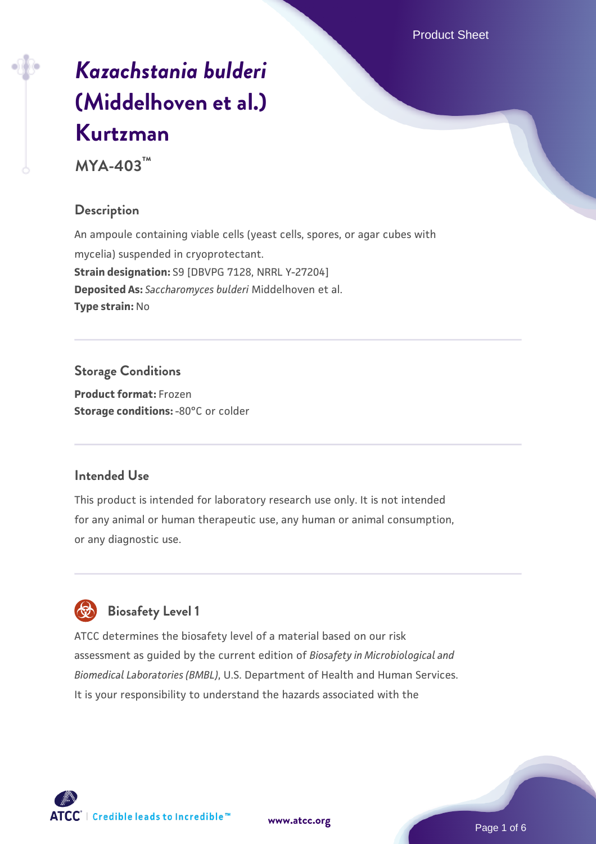# *[Kazachstania bulderi](https://www.atcc.org/products/mya-403)* **[\(Middelhoven et al.\)](https://www.atcc.org/products/mya-403) [Kurtzman](https://www.atcc.org/products/mya-403)**

**MYA-403™**

# **Description**

An ampoule containing viable cells (yeast cells, spores, or agar cubes with mycelia) suspended in cryoprotectant. **Strain designation:** S9 [DBVPG 7128, NRRL Y-27204] **Deposited As:** *Saccharomyces bulderi* Middelhoven et al. **Type strain:** No

**Storage Conditions Product format:** Frozen **Storage conditions: -80°C or colder** 

#### **Intended Use**

This product is intended for laboratory research use only. It is not intended for any animal or human therapeutic use, any human or animal consumption, or any diagnostic use.



# **Biosafety Level 1**

ATCC determines the biosafety level of a material based on our risk assessment as guided by the current edition of *Biosafety in Microbiological and Biomedical Laboratories (BMBL)*, U.S. Department of Health and Human Services. It is your responsibility to understand the hazards associated with the

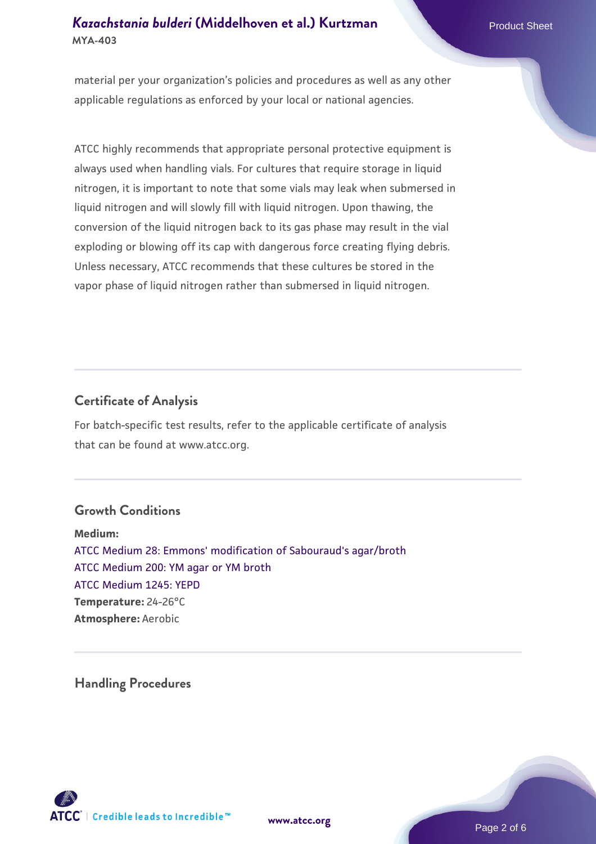material per your organization's policies and procedures as well as any other applicable regulations as enforced by your local or national agencies.

ATCC highly recommends that appropriate personal protective equipment is always used when handling vials. For cultures that require storage in liquid nitrogen, it is important to note that some vials may leak when submersed in liquid nitrogen and will slowly fill with liquid nitrogen. Upon thawing, the conversion of the liquid nitrogen back to its gas phase may result in the vial exploding or blowing off its cap with dangerous force creating flying debris. Unless necessary, ATCC recommends that these cultures be stored in the vapor phase of liquid nitrogen rather than submersed in liquid nitrogen.

#### **Certificate of Analysis**

For batch-specific test results, refer to the applicable certificate of analysis that can be found at www.atcc.org.

#### **Growth Conditions**

**Medium:**  [ATCC Medium 28: Emmons' modification of Sabouraud's agar/broth](https://www.atcc.org/-/media/product-assets/documents/microbial-media-formulations/2/8/atcc-medium-28.pdf?rev=0da0c58cc2a343eeae735016b70809bb) [ATCC Medium 200: YM agar or YM broth](https://www.atcc.org/-/media/product-assets/documents/microbial-media-formulations/2/0/0/atcc-medium-200.pdf?rev=ac40fd74dc13433a809367b0b9da30fc) [ATCC Medium 1245: YEPD](https://www.atcc.org/-/media/product-assets/documents/microbial-media-formulations/1/2/4/5/atcc-medium-1245.pdf?rev=705ca55d1b6f490a808a965d5c072196) **Temperature:** 24-26°C **Atmosphere:** Aerobic

**Handling Procedures**



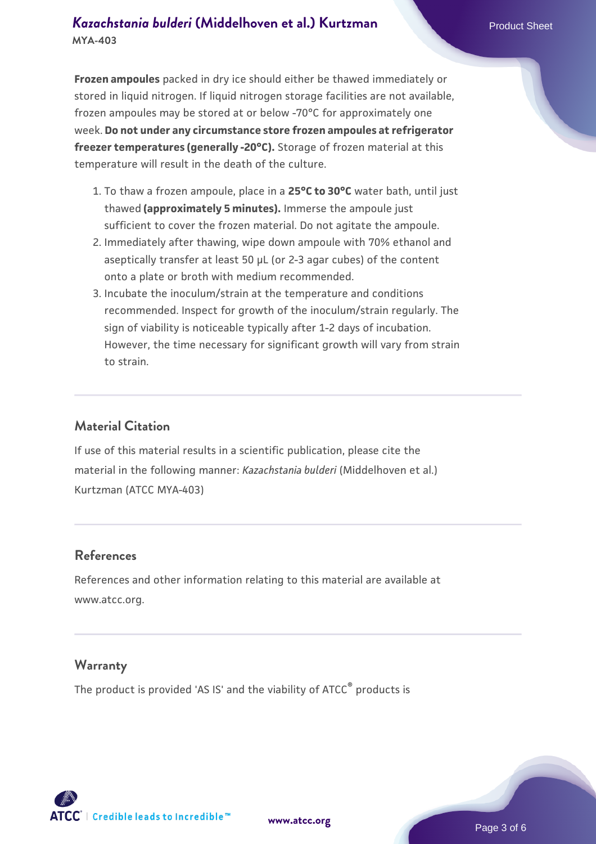**Frozen ampoules** packed in dry ice should either be thawed immediately or stored in liquid nitrogen. If liquid nitrogen storage facilities are not available, frozen ampoules may be stored at or below -70°C for approximately one week. **Do not under any circumstance store frozen ampoules at refrigerator freezer temperatures (generally -20°C).** Storage of frozen material at this temperature will result in the death of the culture.

- 1. To thaw a frozen ampoule, place in a **25°C to 30°C** water bath, until just thawed **(approximately 5 minutes).** Immerse the ampoule just sufficient to cover the frozen material. Do not agitate the ampoule.
- 2. Immediately after thawing, wipe down ampoule with 70% ethanol and aseptically transfer at least 50 µL (or 2-3 agar cubes) of the content onto a plate or broth with medium recommended.
- Incubate the inoculum/strain at the temperature and conditions 3. recommended. Inspect for growth of the inoculum/strain regularly. The sign of viability is noticeable typically after 1-2 days of incubation. However, the time necessary for significant growth will vary from strain to strain.

#### **Material Citation**

If use of this material results in a scientific publication, please cite the material in the following manner: *Kazachstania bulderi* (Middelhoven et al.) Kurtzman (ATCC MYA-403)

#### **References**

References and other information relating to this material are available at www.atcc.org.

#### **Warranty**

The product is provided 'AS IS' and the viability of ATCC<sup>®</sup> products is

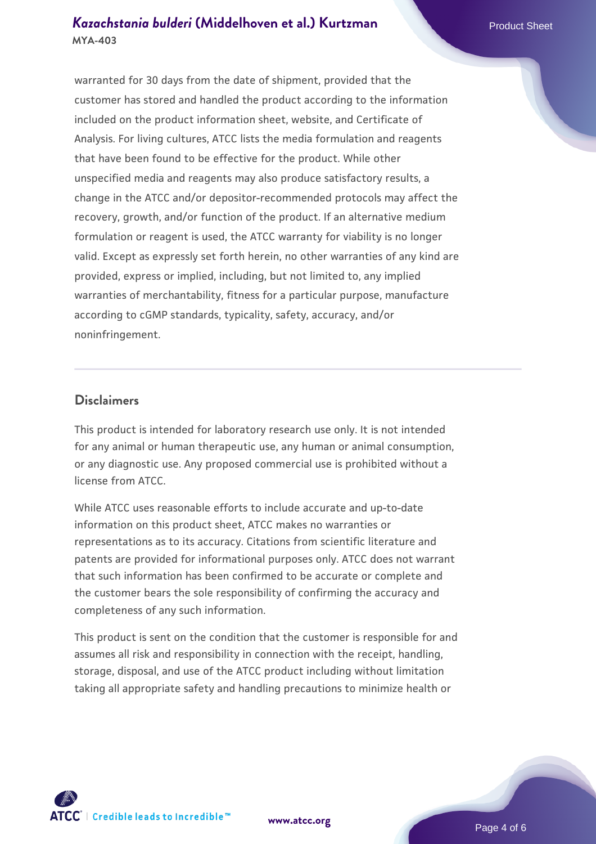warranted for 30 days from the date of shipment, provided that the customer has stored and handled the product according to the information included on the product information sheet, website, and Certificate of Analysis. For living cultures, ATCC lists the media formulation and reagents that have been found to be effective for the product. While other unspecified media and reagents may also produce satisfactory results, a change in the ATCC and/or depositor-recommended protocols may affect the recovery, growth, and/or function of the product. If an alternative medium formulation or reagent is used, the ATCC warranty for viability is no longer valid. Except as expressly set forth herein, no other warranties of any kind are provided, express or implied, including, but not limited to, any implied warranties of merchantability, fitness for a particular purpose, manufacture according to cGMP standards, typicality, safety, accuracy, and/or noninfringement.

#### **Disclaimers**

This product is intended for laboratory research use only. It is not intended for any animal or human therapeutic use, any human or animal consumption, or any diagnostic use. Any proposed commercial use is prohibited without a license from ATCC.

While ATCC uses reasonable efforts to include accurate and up-to-date information on this product sheet, ATCC makes no warranties or representations as to its accuracy. Citations from scientific literature and patents are provided for informational purposes only. ATCC does not warrant that such information has been confirmed to be accurate or complete and the customer bears the sole responsibility of confirming the accuracy and completeness of any such information.

This product is sent on the condition that the customer is responsible for and assumes all risk and responsibility in connection with the receipt, handling, storage, disposal, and use of the ATCC product including without limitation taking all appropriate safety and handling precautions to minimize health or

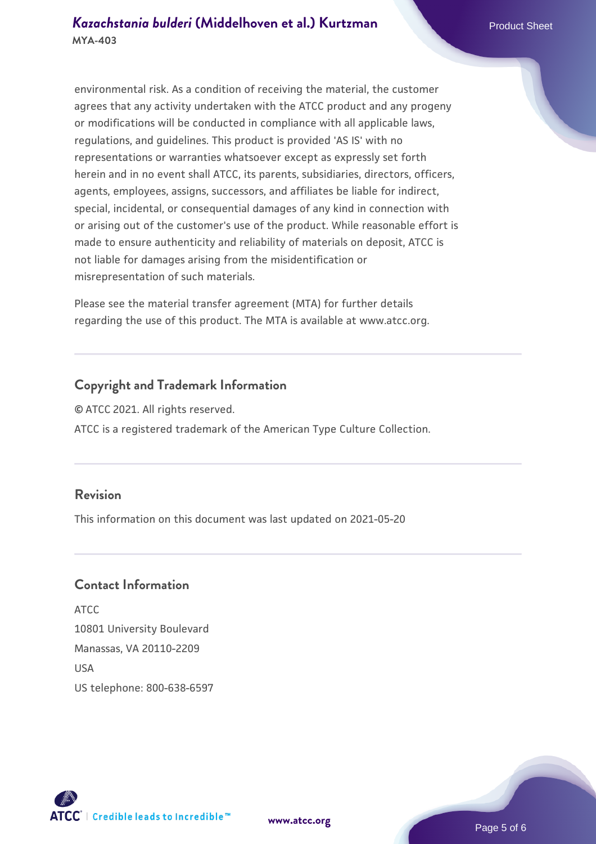environmental risk. As a condition of receiving the material, the customer agrees that any activity undertaken with the ATCC product and any progeny or modifications will be conducted in compliance with all applicable laws, regulations, and guidelines. This product is provided 'AS IS' with no representations or warranties whatsoever except as expressly set forth herein and in no event shall ATCC, its parents, subsidiaries, directors, officers, agents, employees, assigns, successors, and affiliates be liable for indirect, special, incidental, or consequential damages of any kind in connection with or arising out of the customer's use of the product. While reasonable effort is made to ensure authenticity and reliability of materials on deposit, ATCC is not liable for damages arising from the misidentification or misrepresentation of such materials.

Please see the material transfer agreement (MTA) for further details regarding the use of this product. The MTA is available at www.atcc.org.

#### **Copyright and Trademark Information**

© ATCC 2021. All rights reserved. ATCC is a registered trademark of the American Type Culture Collection.

#### **Revision**

This information on this document was last updated on 2021-05-20

#### **Contact Information**

ATCC 10801 University Boulevard Manassas, VA 20110-2209 **IISA** US telephone: 800-638-6597